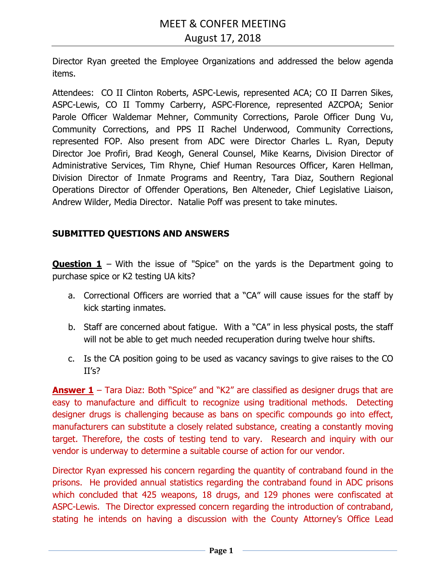Director Ryan greeted the Employee Organizations and addressed the below agenda items.

Attendees: CO II Clinton Roberts, ASPC-Lewis, represented ACA; CO II Darren Sikes, ASPC-Lewis, CO II Tommy Carberry, ASPC-Florence, represented AZCPOA; Senior Parole Officer Waldemar Mehner, Community Corrections, Parole Officer Dung Vu, Community Corrections, and PPS II Rachel Underwood, Community Corrections, represented FOP. Also present from ADC were Director Charles L. Ryan, Deputy Director Joe Profiri, Brad Keogh, General Counsel, Mike Kearns, Division Director of Administrative Services, Tim Rhyne, Chief Human Resources Officer, Karen Hellman, Division Director of Inmate Programs and Reentry, Tara Diaz, Southern Regional Operations Director of Offender Operations, Ben Alteneder, Chief Legislative Liaison, Andrew Wilder, Media Director. Natalie Poff was present to take minutes.

# **SUBMITTED QUESTIONS AND ANSWERS**

**Question 1** – With the issue of "Spice" on the yards is the Department going to purchase spice or K2 testing UA kits?

- a. Correctional Officers are worried that a "CA" will cause issues for the staff by kick starting inmates.
- b. Staff are concerned about fatigue. With a "CA" in less physical posts, the staff will not be able to get much needed recuperation during twelve hour shifts.
- c. Is the CA position going to be used as vacancy savings to give raises to the CO II's?

**Answer 1** – Tara Diaz: Both "Spice" and "K2" are classified as designer drugs that are easy to manufacture and difficult to recognize using traditional methods. Detecting designer drugs is challenging because as bans on specific compounds go into effect, manufacturers can substitute a closely related substance, creating a constantly moving target. Therefore, the costs of testing tend to vary. Research and inquiry with our vendor is underway to determine a suitable course of action for our vendor.

Director Ryan expressed his concern regarding the quantity of contraband found in the prisons. He provided annual statistics regarding the contraband found in ADC prisons which concluded that 425 weapons, 18 drugs, and 129 phones were confiscated at ASPC-Lewis. The Director expressed concern regarding the introduction of contraband, stating he intends on having a discussion with the County Attorney's Office Lead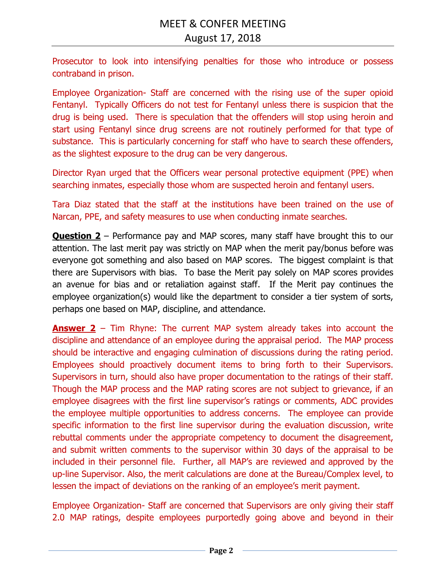Prosecutor to look into intensifying penalties for those who introduce or possess contraband in prison.

Employee Organization- Staff are concerned with the rising use of the super opioid Fentanyl. Typically Officers do not test for Fentanyl unless there is suspicion that the drug is being used. There is speculation that the offenders will stop using heroin and start using Fentanyl since drug screens are not routinely performed for that type of substance. This is particularly concerning for staff who have to search these offenders, as the slightest exposure to the drug can be very dangerous.

Director Ryan urged that the Officers wear personal protective equipment (PPE) when searching inmates, especially those whom are suspected heroin and fentanyl users.

Tara Diaz stated that the staff at the institutions have been trained on the use of Narcan, PPE, and safety measures to use when conducting inmate searches.

**Question 2** – Performance pay and MAP scores, many staff have brought this to our attention. The last merit pay was strictly on MAP when the merit pay/bonus before was everyone got something and also based on MAP scores. The biggest complaint is that there are Supervisors with bias. To base the Merit pay solely on MAP scores provides an avenue for bias and or retaliation against staff. If the Merit pay continues the employee organization(s) would like the department to consider a tier system of sorts, perhaps one based on MAP, discipline, and attendance.

**Answer 2** – Tim Rhyne: The current MAP system already takes into account the discipline and attendance of an employee during the appraisal period. The MAP process should be interactive and engaging culmination of discussions during the rating period. Employees should proactively document items to bring forth to their Supervisors. Supervisors in turn, should also have proper documentation to the ratings of their staff. Though the MAP process and the MAP rating scores are not subject to grievance, if an employee disagrees with the first line supervisor's ratings or comments, ADC provides the employee multiple opportunities to address concerns. The employee can provide specific information to the first line supervisor during the evaluation discussion, write rebuttal comments under the appropriate competency to document the disagreement, and submit written comments to the supervisor within 30 days of the appraisal to be included in their personnel file. Further, all MAP's are reviewed and approved by the up-line Supervisor. Also, the merit calculations are done at the Bureau/Complex level, to lessen the impact of deviations on the ranking of an employee's merit payment.

Employee Organization- Staff are concerned that Supervisors are only giving their staff 2.0 MAP ratings, despite employees purportedly going above and beyond in their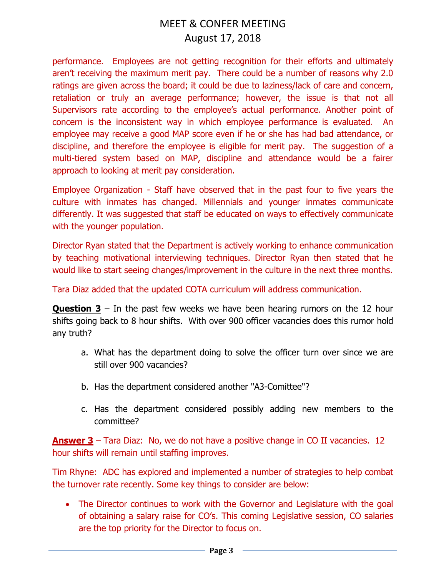performance. Employees are not getting recognition for their efforts and ultimately aren't receiving the maximum merit pay. There could be a number of reasons why 2.0 ratings are given across the board; it could be due to laziness/lack of care and concern, retaliation or truly an average performance; however, the issue is that not all Supervisors rate according to the employee's actual performance. Another point of concern is the inconsistent way in which employee performance is evaluated. An employee may receive a good MAP score even if he or she has had bad attendance, or discipline, and therefore the employee is eligible for merit pay. The suggestion of a multi-tiered system based on MAP, discipline and attendance would be a fairer approach to looking at merit pay consideration.

Employee Organization - Staff have observed that in the past four to five years the culture with inmates has changed. Millennials and younger inmates communicate differently. It was suggested that staff be educated on ways to effectively communicate with the younger population.

Director Ryan stated that the Department is actively working to enhance communication by teaching motivational interviewing techniques. Director Ryan then stated that he would like to start seeing changes/improvement in the culture in the next three months.

Tara Diaz added that the updated COTA curriculum will address communication.

**Question 3** – In the past few weeks we have been hearing rumors on the 12 hour shifts going back to 8 hour shifts. With over 900 officer vacancies does this rumor hold any truth?

- a. What has the department doing to solve the officer turn over since we are still over 900 vacancies?
- b. Has the department considered another "A3-Comittee"?
- c. Has the department considered possibly adding new members to the committee?

**Answer 3** – Tara Diaz: No, we do not have a positive change in CO II vacancies. 12 hour shifts will remain until staffing improves.

Tim Rhyne: ADC has explored and implemented a number of strategies to help combat the turnover rate recently. Some key things to consider are below:

• The Director continues to work with the Governor and Legislature with the goal of obtaining a salary raise for CO's. This coming Legislative session, CO salaries are the top priority for the Director to focus on.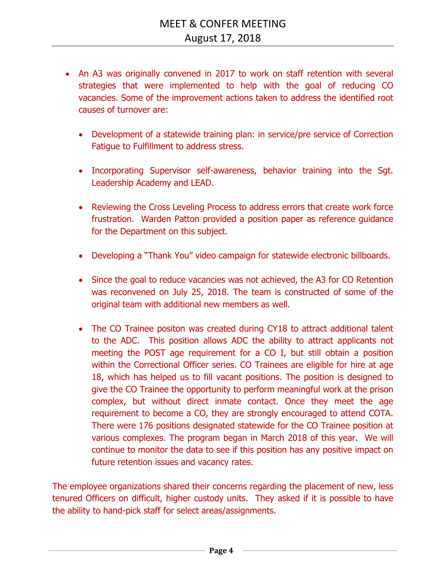- An A3 was originally convened in 2017 to work on staff retention with several strategies that were implemented to help with the goal of reducing CO vacancies. Some of the improvement actions taken to address the identified root causes of turnover are:
	- Development of a statewide training plan: in service/pre service of Correction Fatigue to Fulfillment to address stress.
	- Incorporating Supervisor self-awareness, behavior training into the Sgt. Leadership Academy and LEAD.
	- Reviewing the Cross Leveling Process to address errors that create work force frustration. Warden Patton provided a position paper as reference guidance for the Department on this subject.
	- Developing a "Thank You" video campaign for statewide electronic billboards.
	- Since the goal to reduce vacancies was not achieved, the A3 for CO Retention was reconvened on July 25, 2018. The team is constructed of some of the original team with additional new members as well.
	- The CO Trainee positon was created during CY18 to attract additional talent to the ADC. This position allows ADC the ability to attract applicants not meeting the POST age requirement for a CO I, but still obtain a position within the Correctional Officer series. CO Trainees are eligible for hire at age 18, which has helped us to fill vacant positions. The position is designed to give the CO Trainee the opportunity to perform meaningful work at the prison complex, but without direct inmate contact. Once they meet the age requirement to become a CO, they are strongly encouraged to attend COTA. There were 176 positions designated statewide for the CO Trainee position at various complexes. The program began in March 2018 of this year. We will continue to monitor the data to see if this position has any positive impact on future retention issues and vacancy rates.

The employee organizations shared their concerns regarding the placement of new, less tenured Officers on difficult, higher custody units. They asked if it is possible to have the ability to hand-pick staff for select areas/assignments.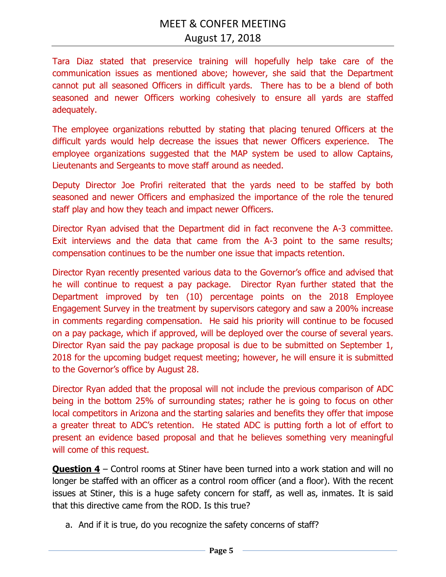Tara Diaz stated that preservice training will hopefully help take care of the communication issues as mentioned above; however, she said that the Department cannot put all seasoned Officers in difficult yards. There has to be a blend of both seasoned and newer Officers working cohesively to ensure all yards are staffed adequately.

The employee organizations rebutted by stating that placing tenured Officers at the difficult yards would help decrease the issues that newer Officers experience. The employee organizations suggested that the MAP system be used to allow Captains, Lieutenants and Sergeants to move staff around as needed.

Deputy Director Joe Profiri reiterated that the yards need to be staffed by both seasoned and newer Officers and emphasized the importance of the role the tenured staff play and how they teach and impact newer Officers.

Director Ryan advised that the Department did in fact reconvene the A-3 committee. Exit interviews and the data that came from the A-3 point to the same results; compensation continues to be the number one issue that impacts retention.

Director Ryan recently presented various data to the Governor's office and advised that he will continue to request a pay package. Director Ryan further stated that the Department improved by ten (10) percentage points on the 2018 Employee Engagement Survey in the treatment by supervisors category and saw a 200% increase in comments regarding compensation. He said his priority will continue to be focused on a pay package, which if approved, will be deployed over the course of several years. Director Ryan said the pay package proposal is due to be submitted on September 1, 2018 for the upcoming budget request meeting; however, he will ensure it is submitted to the Governor's office by August 28.

Director Ryan added that the proposal will not include the previous comparison of ADC being in the bottom 25% of surrounding states; rather he is going to focus on other local competitors in Arizona and the starting salaries and benefits they offer that impose a greater threat to ADC's retention. He stated ADC is putting forth a lot of effort to present an evidence based proposal and that he believes something very meaningful will come of this request.

**Question 4** – Control rooms at Stiner have been turned into a work station and will no longer be staffed with an officer as a control room officer (and a floor). With the recent issues at Stiner, this is a huge safety concern for staff, as well as, inmates. It is said that this directive came from the ROD. Is this true?

a. And if it is true, do you recognize the safety concerns of staff?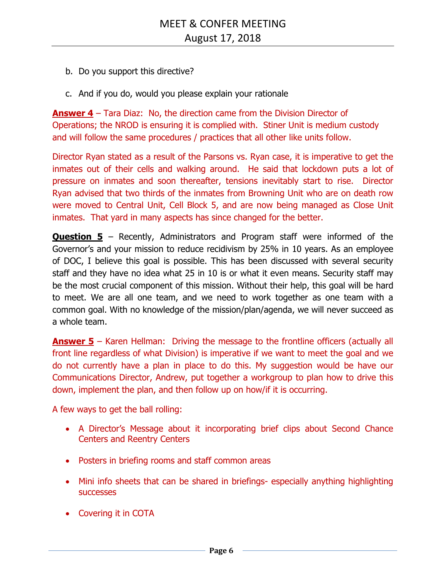- b. Do you support this directive?
- c. And if you do, would you please explain your rationale

**Answer 4** – Tara Diaz: No, the direction came from the Division Director of Operations; the NROD is ensuring it is complied with. Stiner Unit is medium custody and will follow the same procedures / practices that all other like units follow.

Director Ryan stated as a result of the Parsons vs. Ryan case, it is imperative to get the inmates out of their cells and walking around. He said that lockdown puts a lot of pressure on inmates and soon thereafter, tensions inevitably start to rise. Director Ryan advised that two thirds of the inmates from Browning Unit who are on death row were moved to Central Unit, Cell Block 5, and are now being managed as Close Unit inmates. That yard in many aspects has since changed for the better.

**Question 5** – Recently, Administrators and Program staff were informed of the Governor's and your mission to reduce recidivism by 25% in 10 years. As an employee of DOC, I believe this goal is possible. This has been discussed with several security staff and they have no idea what 25 in 10 is or what it even means. Security staff may be the most crucial component of this mission. Without their help, this goal will be hard to meet. We are all one team, and we need to work together as one team with a common goal. With no knowledge of the mission/plan/agenda, we will never succeed as a whole team.

**Answer 5** – Karen Hellman: Driving the message to the frontline officers (actually all front line regardless of what Division) is imperative if we want to meet the goal and we do not currently have a plan in place to do this. My suggestion would be have our Communications Director, Andrew, put together a workgroup to plan how to drive this down, implement the plan, and then follow up on how/if it is occurring.

A few ways to get the ball rolling:

- A Director's Message about it incorporating brief clips about Second Chance Centers and Reentry Centers
- Posters in briefing rooms and staff common areas
- Mini info sheets that can be shared in briefings- especially anything highlighting successes
- Covering it in COTA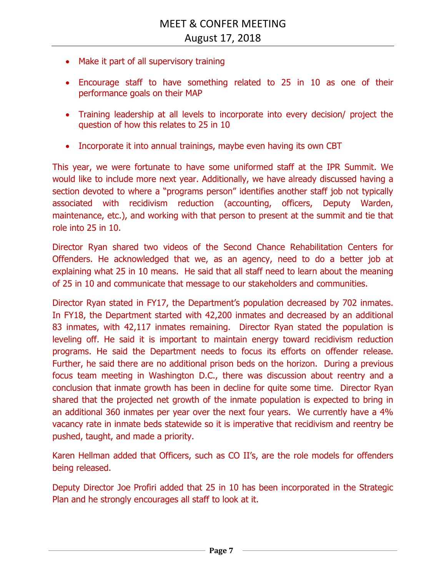- Make it part of all supervisory training
- Encourage staff to have something related to 25 in 10 as one of their performance goals on their MAP
- Training leadership at all levels to incorporate into every decision/ project the question of how this relates to 25 in 10
- Incorporate it into annual trainings, maybe even having its own CBT

This year, we were fortunate to have some uniformed staff at the IPR Summit. We would like to include more next year. Additionally, we have already discussed having a section devoted to where a "programs person" identifies another staff job not typically associated with recidivism reduction (accounting, officers, Deputy Warden, maintenance, etc.), and working with that person to present at the summit and tie that role into 25 in 10.

Director Ryan shared two videos of the Second Chance Rehabilitation Centers for Offenders. He acknowledged that we, as an agency, need to do a better job at explaining what 25 in 10 means. He said that all staff need to learn about the meaning of 25 in 10 and communicate that message to our stakeholders and communities.

Director Ryan stated in FY17, the Department's population decreased by 702 inmates. In FY18, the Department started with 42,200 inmates and decreased by an additional 83 inmates, with 42,117 inmates remaining. Director Ryan stated the population is leveling off. He said it is important to maintain energy toward recidivism reduction programs. He said the Department needs to focus its efforts on offender release. Further, he said there are no additional prison beds on the horizon. During a previous focus team meeting in Washington D.C., there was discussion about reentry and a conclusion that inmate growth has been in decline for quite some time. Director Ryan shared that the projected net growth of the inmate population is expected to bring in an additional 360 inmates per year over the next four years. We currently have a 4% vacancy rate in inmate beds statewide so it is imperative that recidivism and reentry be pushed, taught, and made a priority.

Karen Hellman added that Officers, such as CO II's, are the role models for offenders being released.

Deputy Director Joe Profiri added that 25 in 10 has been incorporated in the Strategic Plan and he strongly encourages all staff to look at it.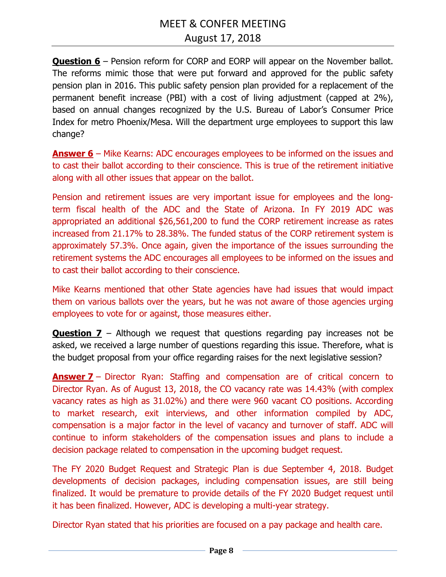**Question 6** – Pension reform for CORP and EORP will appear on the November ballot. The reforms mimic those that were put forward and approved for the public safety pension plan in 2016. This public safety pension plan provided for a replacement of the permanent benefit increase (PBI) with a cost of living adjustment (capped at 2%), based on annual changes recognized by the U.S. Bureau of Labor's Consumer Price Index for metro Phoenix/Mesa. Will the department urge employees to support this law change?

**Answer 6** – Mike Kearns: ADC encourages employees to be informed on the issues and to cast their ballot according to their conscience. This is true of the retirement initiative along with all other issues that appear on the ballot.

Pension and retirement issues are very important issue for employees and the longterm fiscal health of the ADC and the State of Arizona. In FY 2019 ADC was appropriated an additional \$26,561,200 to fund the CORP retirement increase as rates increased from 21.17% to 28.38%. The funded status of the CORP retirement system is approximately 57.3%. Once again, given the importance of the issues surrounding the retirement systems the ADC encourages all employees to be informed on the issues and to cast their ballot according to their conscience.

Mike Kearns mentioned that other State agencies have had issues that would impact them on various ballots over the years, but he was not aware of those agencies urging employees to vote for or against, those measures either.

**Question 7** – Although we request that questions regarding pay increases not be asked, we received a large number of questions regarding this issue. Therefore, what is the budget proposal from your office regarding raises for the next legislative session?

**Answer 7** – Director Ryan: Staffing and compensation are of critical concern to Director Ryan. As of August 13, 2018, the CO vacancy rate was 14.43% (with complex vacancy rates as high as 31.02%) and there were 960 vacant CO positions. According to market research, exit interviews, and other information compiled by ADC, compensation is a major factor in the level of vacancy and turnover of staff. ADC will continue to inform stakeholders of the compensation issues and plans to include a decision package related to compensation in the upcoming budget request.

The FY 2020 Budget Request and Strategic Plan is due September 4, 2018. Budget developments of decision packages, including compensation issues, are still being finalized. It would be premature to provide details of the FY 2020 Budget request until it has been finalized. However, ADC is developing a multi-year strategy.

Director Ryan stated that his priorities are focused on a pay package and health care.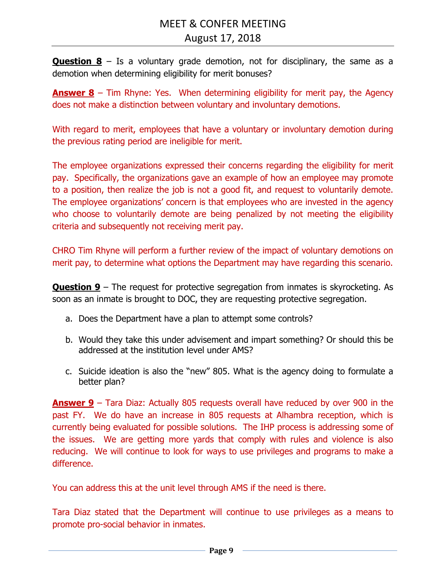**Question 8** – Is a voluntary grade demotion, not for disciplinary, the same as a demotion when determining eligibility for merit bonuses?

**Answer 8** – Tim Rhyne: Yes. When determining eligibility for merit pay, the Agency does not make a distinction between voluntary and involuntary demotions.

With regard to merit, employees that have a voluntary or involuntary demotion during the previous rating period are ineligible for merit.

The employee organizations expressed their concerns regarding the eligibility for merit pay. Specifically, the organizations gave an example of how an employee may promote to a position, then realize the job is not a good fit, and request to voluntarily demote. The employee organizations' concern is that employees who are invested in the agency who choose to voluntarily demote are being penalized by not meeting the eligibility criteria and subsequently not receiving merit pay.

CHRO Tim Rhyne will perform a further review of the impact of voluntary demotions on merit pay, to determine what options the Department may have regarding this scenario.

**Question 9** – The request for protective segregation from inmates is skyrocketing. As soon as an inmate is brought to DOC, they are requesting protective segregation.

- a. Does the Department have a plan to attempt some controls?
- b. Would they take this under advisement and impart something? Or should this be addressed at the institution level under AMS?
- c. Suicide ideation is also the "new" 805. What is the agency doing to formulate a better plan?

**Answer 9** – Tara Diaz: Actually 805 requests overall have reduced by over 900 in the past FY. We do have an increase in 805 requests at Alhambra reception, which is currently being evaluated for possible solutions. The IHP process is addressing some of the issues. We are getting more yards that comply with rules and violence is also reducing. We will continue to look for ways to use privileges and programs to make a difference.

You can address this at the unit level through AMS if the need is there.

Tara Diaz stated that the Department will continue to use privileges as a means to promote pro-social behavior in inmates.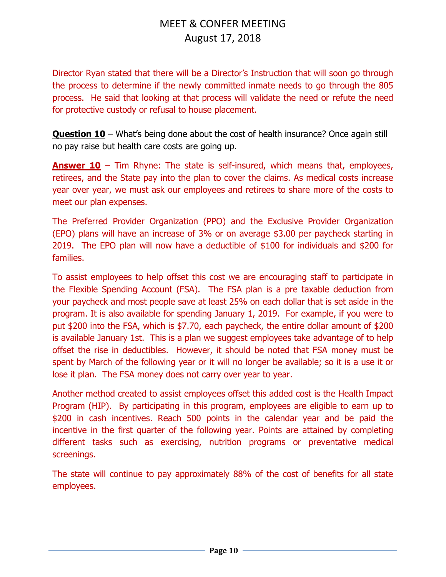Director Ryan stated that there will be a Director's Instruction that will soon go through the process to determine if the newly committed inmate needs to go through the 805 process. He said that looking at that process will validate the need or refute the need for protective custody or refusal to house placement.

**Question 10** – What's being done about the cost of health insurance? Once again still no pay raise but health care costs are going up.

**Answer 10** – Tim Rhyne: The state is self-insured, which means that, employees, retirees, and the State pay into the plan to cover the claims. As medical costs increase year over year, we must ask our employees and retirees to share more of the costs to meet our plan expenses.

The Preferred Provider Organization (PPO) and the Exclusive Provider Organization (EPO) plans will have an increase of 3% or on average \$3.00 per paycheck starting in 2019. The EPO plan will now have a deductible of \$100 for individuals and \$200 for families.

To assist employees to help offset this cost we are encouraging staff to participate in the Flexible Spending Account (FSA). The FSA plan is a pre taxable deduction from your paycheck and most people save at least 25% on each dollar that is set aside in the program. It is also available for spending January 1, 2019. For example, if you were to put \$200 into the FSA, which is \$7.70, each paycheck, the entire dollar amount of \$200 is available January 1st. This is a plan we suggest employees take advantage of to help offset the rise in deductibles. However, it should be noted that FSA money must be spent by March of the following year or it will no longer be available; so it is a use it or lose it plan. The FSA money does not carry over year to year.

Another method created to assist employees offset this added cost is the Health Impact Program (HIP). By participating in this program, employees are eligible to earn up to \$200 in cash incentives. Reach 500 points in the calendar year and be paid the incentive in the first quarter of the following year. Points are attained by completing different tasks such as exercising, nutrition programs or preventative medical screenings.

The state will continue to pay approximately 88% of the cost of benefits for all state employees.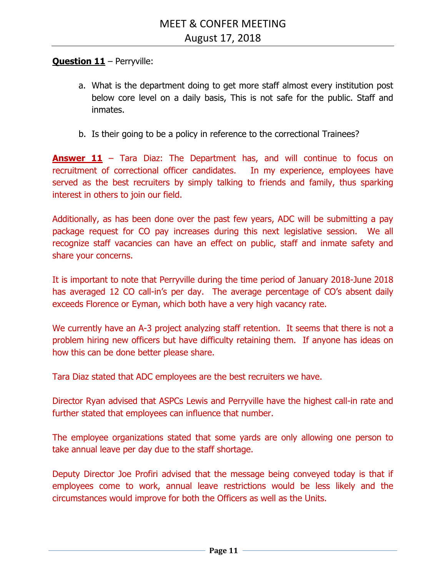## **Question 11** – Perryville:

- a. What is the department doing to get more staff almost every institution post below core level on a daily basis, This is not safe for the public. Staff and inmates.
- b. Is their going to be a policy in reference to the correctional Trainees?

**Answer 11** – Tara Diaz: The Department has, and will continue to focus on recruitment of correctional officer candidates. In my experience, employees have served as the best recruiters by simply talking to friends and family, thus sparking interest in others to join our field.

Additionally, as has been done over the past few years, ADC will be submitting a pay package request for CO pay increases during this next legislative session. We all recognize staff vacancies can have an effect on public, staff and inmate safety and share your concerns.

It is important to note that Perryville during the time period of January 2018-June 2018 has averaged 12 CO call-in's per day. The average percentage of CO's absent daily exceeds Florence or Eyman, which both have a very high vacancy rate.

We currently have an A-3 project analyzing staff retention. It seems that there is not a problem hiring new officers but have difficulty retaining them. If anyone has ideas on how this can be done better please share.

Tara Diaz stated that ADC employees are the best recruiters we have.

Director Ryan advised that ASPCs Lewis and Perryville have the highest call-in rate and further stated that employees can influence that number.

The employee organizations stated that some yards are only allowing one person to take annual leave per day due to the staff shortage.

Deputy Director Joe Profiri advised that the message being conveyed today is that if employees come to work, annual leave restrictions would be less likely and the circumstances would improve for both the Officers as well as the Units.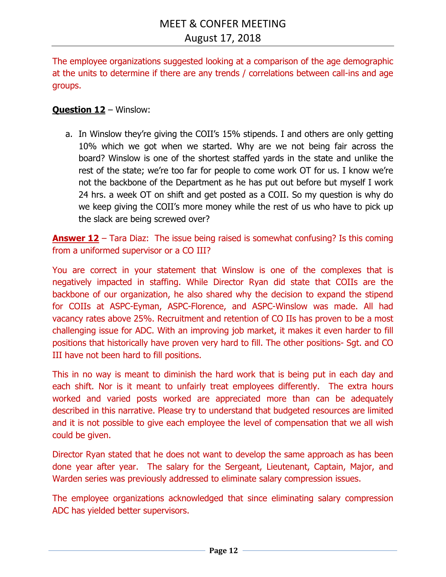The employee organizations suggested looking at a comparison of the age demographic at the units to determine if there are any trends / correlations between call-ins and age groups.

## **Question 12** – Winslow:

a. In Winslow they're giving the COII's 15% stipends. I and others are only getting 10% which we got when we started. Why are we not being fair across the board? Winslow is one of the shortest staffed yards in the state and unlike the rest of the state; we're too far for people to come work OT for us. I know we're not the backbone of the Department as he has put out before but myself I work 24 hrs. a week OT on shift and get posted as a COII. So my question is why do we keep giving the COII's more money while the rest of us who have to pick up the slack are being screwed over?

**Answer 12** – Tara Diaz: The issue being raised is somewhat confusing? Is this coming from a uniformed supervisor or a CO III?

You are correct in your statement that Winslow is one of the complexes that is negatively impacted in staffing. While Director Ryan did state that COIIs are the backbone of our organization, he also shared why the decision to expand the stipend for COIIs at ASPC-Eyman, ASPC-Florence, and ASPC-Winslow was made. All had vacancy rates above 25%. Recruitment and retention of CO IIs has proven to be a most challenging issue for ADC. With an improving job market, it makes it even harder to fill positions that historically have proven very hard to fill. The other positions- Sgt. and CO III have not been hard to fill positions.

This in no way is meant to diminish the hard work that is being put in each day and each shift. Nor is it meant to unfairly treat employees differently. The extra hours worked and varied posts worked are appreciated more than can be adequately described in this narrative. Please try to understand that budgeted resources are limited and it is not possible to give each employee the level of compensation that we all wish could be given.

Director Ryan stated that he does not want to develop the same approach as has been done year after year. The salary for the Sergeant, Lieutenant, Captain, Major, and Warden series was previously addressed to eliminate salary compression issues.

The employee organizations acknowledged that since eliminating salary compression ADC has yielded better supervisors.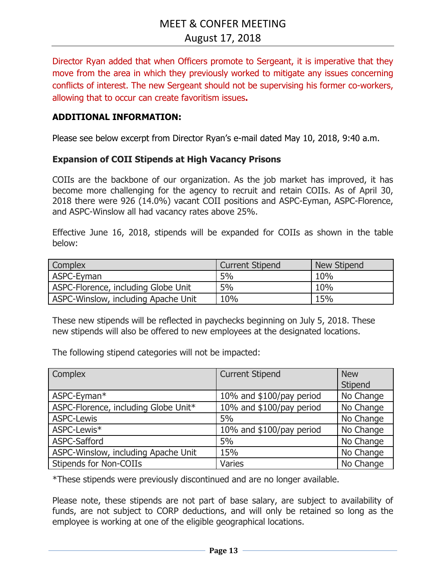Director Ryan added that when Officers promote to Sergeant, it is imperative that they move from the area in which they previously worked to mitigate any issues concerning conflicts of interest. The new Sergeant should not be supervising his former co-workers, allowing that to occur can create favoritism issues**.** 

### **ADDITIONAL INFORMATION:**

Please see below excerpt from Director Ryan's e-mail dated May 10, 2018, 9:40 a.m.

#### **Expansion of COII Stipends at High Vacancy Prisons**

COIIs are the backbone of our organization. As the job market has improved, it has become more challenging for the agency to recruit and retain COIIs. As of April 30, 2018 there were 926 (14.0%) vacant COII positions and ASPC-Eyman, ASPC-Florence, and ASPC-Winslow all had vacancy rates above 25%.

Effective June 16, 2018, stipends will be expanded for COIIs as shown in the table below:

| Complex                             | <b>Current Stipend</b> | New Stipend |
|-------------------------------------|------------------------|-------------|
| ASPC-Eyman                          | 5%                     | 10%         |
| ASPC-Florence, including Globe Unit | 5%                     | 10%         |
| ASPC-Winslow, including Apache Unit | 10%                    | 15%         |

These new stipends will be reflected in paychecks beginning on July 5, 2018. These new stipends will also be offered to new employees at the designated locations.

The following stipend categories will not be impacted:

| Complex                              | <b>Current Stipend</b>   | <b>New</b> |
|--------------------------------------|--------------------------|------------|
|                                      |                          | Stipend    |
| ASPC-Eyman*                          | 10% and \$100/pay period | No Change  |
| ASPC-Florence, including Globe Unit* | 10% and \$100/pay period | No Change  |
| <b>ASPC-Lewis</b>                    | 5%                       | No Change  |
| ASPC-Lewis*                          | 10% and \$100/pay period | No Change  |
| ASPC-Safford                         | 5%                       | No Change  |
| ASPC-Winslow, including Apache Unit  | 15%                      | No Change  |
| <b>Stipends for Non-COIIs</b>        | <b>Varies</b>            | No Change  |

\*These stipends were previously discontinued and are no longer available.

Please note, these stipends are not part of base salary, are subject to availability of funds, are not subject to CORP deductions, and will only be retained so long as the employee is working at one of the eligible geographical locations.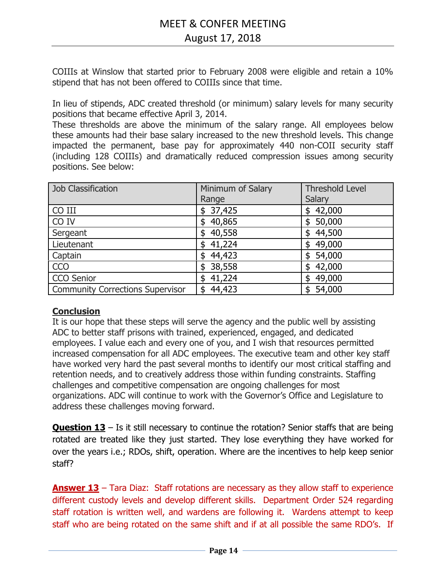COIIIs at Winslow that started prior to February 2008 were eligible and retain a 10% stipend that has not been offered to COIIIs since that time.

In lieu of stipends, ADC created threshold (or minimum) salary levels for many security positions that became effective April 3, 2014.

These thresholds are above the minimum of the salary range. All employees below these amounts had their base salary increased to the new threshold levels. This change impacted the permanent, base pay for approximately 440 non-COII security staff (including 128 COIIIs) and dramatically reduced compression issues among security positions. See below:

| <b>Job Classification</b>               | Minimum of Salary | <b>Threshold Level</b> |
|-----------------------------------------|-------------------|------------------------|
|                                         | Range             | Salary                 |
| CO III                                  | \$37,425          | \$42,000               |
| CO IV                                   | 40,865<br>\$      | \$50,000               |
| Sergeant                                | 40,558<br>\$      | \$44,500               |
| Lieutenant                              | 41,224<br>\$      | \$49,000               |
| Captain                                 | 44,423<br>\$      | \$54,000               |
| <b>CCO</b>                              | 38,558<br>\$      | \$42,000               |
| <b>CCO Senior</b>                       | 41,224<br>\$      | 49,000<br>\$           |
| <b>Community Corrections Supervisor</b> | 44,423<br>\$      | 54,000<br>\$           |

## **Conclusion**

It is our hope that these steps will serve the agency and the public well by assisting ADC to better staff prisons with trained, experienced, engaged, and dedicated employees. I value each and every one of you, and I wish that resources permitted increased compensation for all ADC employees. The executive team and other key staff have worked very hard the past several months to identify our most critical staffing and retention needs, and to creatively address those within funding constraints. Staffing challenges and competitive compensation are ongoing challenges for most organizations. ADC will continue to work with the Governor's Office and Legislature to address these challenges moving forward.

**Question 13** – Is it still necessary to continue the rotation? Senior staffs that are being rotated are treated like they just started. They lose everything they have worked for over the years i.e.; RDOs, shift, operation. Where are the incentives to help keep senior staff?

**Answer 13** – Tara Diaz: Staff rotations are necessary as they allow staff to experience different custody levels and develop different skills. Department Order 524 regarding staff rotation is written well, and wardens are following it. Wardens attempt to keep staff who are being rotated on the same shift and if at all possible the same RDO's. If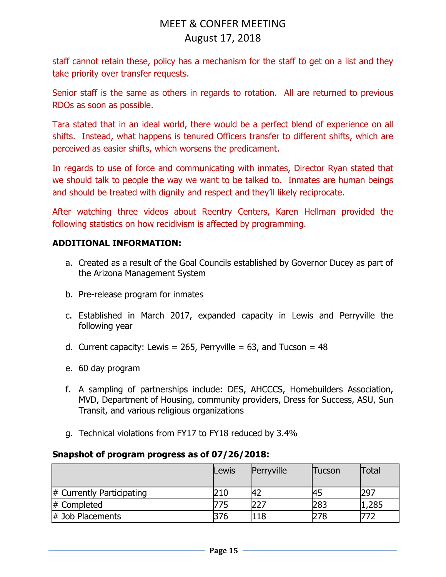staff cannot retain these, policy has a mechanism for the staff to get on a list and they take priority over transfer requests.

Senior staff is the same as others in regards to rotation. All are returned to previous RDOs as soon as possible.

Tara stated that in an ideal world, there would be a perfect blend of experience on all shifts. Instead, what happens is tenured Officers transfer to different shifts, which are perceived as easier shifts, which worsens the predicament.

In regards to use of force and communicating with inmates, Director Ryan stated that we should talk to people the way we want to be talked to. Inmates are human beings and should be treated with dignity and respect and they'll likely reciprocate.

After watching three videos about Reentry Centers, Karen Hellman provided the following statistics on how recidivism is affected by programming.

## **ADDITIONAL INFORMATION:**

- a. Created as a result of the Goal Councils established by Governor Ducey as part of the Arizona Management System
- b. Pre-release program for inmates
- c. Established in March 2017, expanded capacity in Lewis and Perryville the following year
- d. Current capacity: Lewis = 265, Perryville = 63, and Tucson =  $48$
- e. 60 day program
- f. A sampling of partnerships include: DES, AHCCCS, Homebuilders Association, MVD, Department of Housing, community providers, Dress for Success, ASU, Sun Transit, and various religious organizations
- g. Technical violations from FY17 to FY18 reduced by 3.4%

#### **Snapshot of program progress as of 07/26/2018:**

|                              | Lewis | Perryville | Tucson | <b>Total</b> |
|------------------------------|-------|------------|--------|--------------|
| $\#$ Currently Participating | 210   |            |        | 297          |
| # Completed                  |       |            | 283    | ,285         |
| $\#$ Job Placements          | 376   | 118        | 78     | 772          |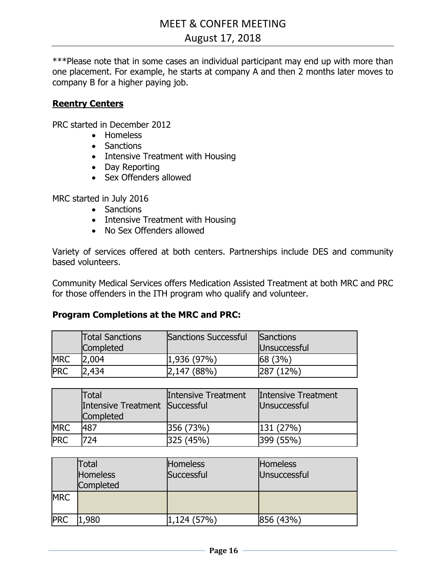\*\*\*Please note that in some cases an individual participant may end up with more than one placement. For example, he starts at company A and then 2 months later moves to company B for a higher paying job.

## **Reentry Centers**

PRC started in December 2012

- Homeless
- Sanctions
- Intensive Treatment with Housing
- Day Reporting
- Sex Offenders allowed

MRC started in July 2016

- Sanctions
- Intensive Treatment with Housing
- No Sex Offenders allowed

Variety of services offered at both centers. Partnerships include DES and community based volunteers.

Community Medical Services offers Medication Assisted Treatment at both MRC and PRC for those offenders in the ITH program who qualify and volunteer.

#### **Program Completions at the MRC and PRC:**

|            | <b>Total Sanctions</b><br><b>Completed</b> | Sanctions Successful | Sanctions<br>Unsuccessful |
|------------|--------------------------------------------|----------------------|---------------------------|
| <b>MRC</b> | 2,004                                      | 1,936(97%)           | 68(3%)                    |
| <b>PRC</b> | 2,434                                      | 2,147 (88%)          | $12\%$                    |

|            | Total<br>Intensive Treatment Successful<br><b>Completed</b> | <b>Intensive Treatment</b> | Intensive Treatment<br>Unsuccessful |
|------------|-------------------------------------------------------------|----------------------------|-------------------------------------|
| <b>MRC</b> | 487                                                         | 356 (73%)                  | 131 (27%)                           |
| <b>PRC</b> | 724                                                         | 925(45%)                   | <b>399 (55%)</b>                    |

|            | Total<br><b>Homeless</b><br><b>Completed</b> | <b>Homeless</b><br>Successful | <b>Homeless</b><br>Unsuccessful |
|------------|----------------------------------------------|-------------------------------|---------------------------------|
| <b>MRC</b> |                                              |                               |                                 |
| <b>PRC</b> | 1,980                                        | 1,124(57%)                    | 856 (43%)                       |